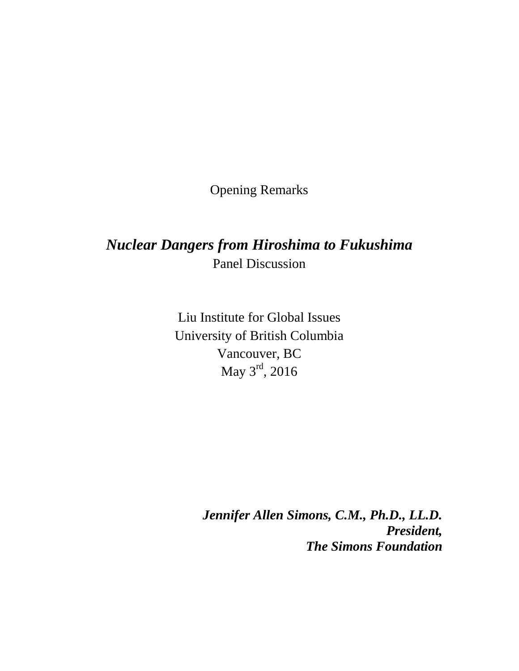Opening Remarks

## *Nuclear Dangers from Hiroshima to Fukushima* Panel Discussion

Liu Institute for Global Issues University of British Columbia Vancouver, BC May 3<sup>rd</sup>, 2016

> *Jennifer Allen Simons, C.M., Ph.D., LL.D. President, The Simons Foundation*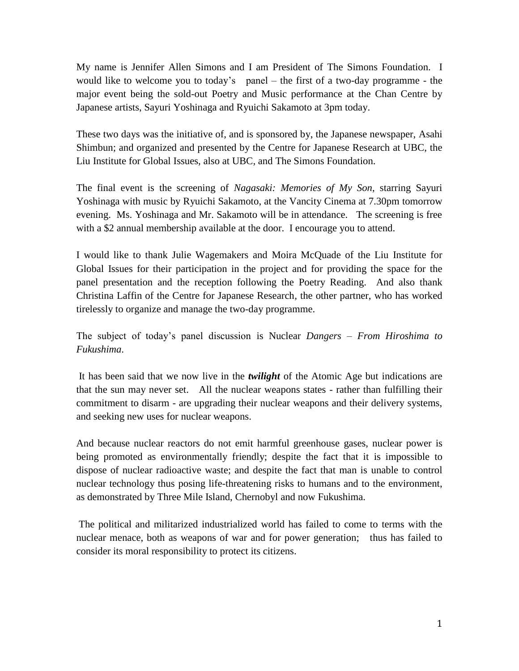My name is Jennifer Allen Simons and I am President of The Simons Foundation. I would like to welcome you to today's panel – the first of a two-day programme - the major event being the sold-out Poetry and Music performance at the Chan Centre by Japanese artists, Sayuri Yoshinaga and Ryuichi Sakamoto at 3pm today.

These two days was the initiative of, and is sponsored by, the Japanese newspaper, Asahi Shimbun; and organized and presented by the Centre for Japanese Research at UBC, the Liu Institute for Global Issues, also at UBC, and The Simons Foundation.

The final event is the screening of *Nagasaki: Memories of My Son*, starring Sayuri Yoshinaga with music by Ryuichi Sakamoto, at the Vancity Cinema at 7.30pm tomorrow evening. Ms. Yoshinaga and Mr. Sakamoto will be in attendance. The screening is free with a \$2 annual membership available at the door. I encourage you to attend.

I would like to thank Julie Wagemakers and Moira McQuade of the Liu Institute for Global Issues for their participation in the project and for providing the space for the panel presentation and the reception following the Poetry Reading. And also thank Christina Laffin of the Centre for Japanese Research, the other partner, who has worked tirelessly to organize and manage the two-day programme.

The subject of today's panel discussion is Nuclear *Dangers – From Hiroshima to Fukushima*.

It has been said that we now live in the *twilight* of the Atomic Age but indications are that the sun may never set. All the nuclear weapons states - rather than fulfilling their commitment to disarm - are upgrading their nuclear weapons and their delivery systems, and seeking new uses for nuclear weapons.

And because nuclear reactors do not emit harmful greenhouse gases, nuclear power is being promoted as environmentally friendly; despite the fact that it is impossible to dispose of nuclear radioactive waste; and despite the fact that man is unable to control nuclear technology thus posing life-threatening risks to humans and to the environment, as demonstrated by Three Mile Island, Chernobyl and now Fukushima.

The political and militarized industrialized world has failed to come to terms with the nuclear menace, both as weapons of war and for power generation; thus has failed to consider its moral responsibility to protect its citizens.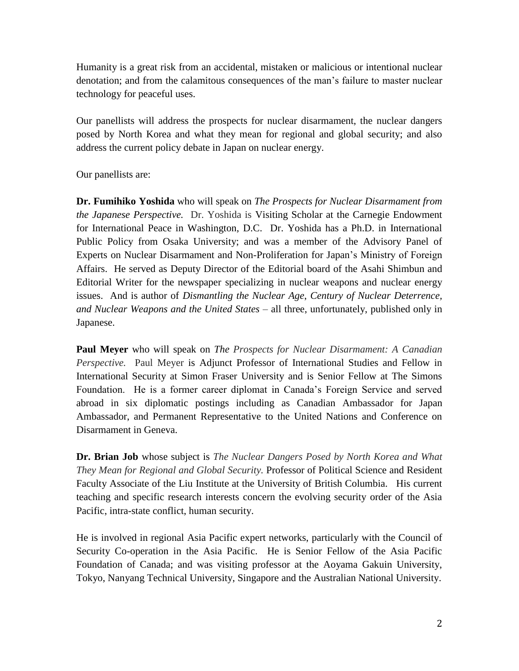Humanity is a great risk from an accidental, mistaken or malicious or intentional nuclear denotation; and from the calamitous consequences of the man's failure to master nuclear technology for peaceful uses.

Our panellists will address the prospects for nuclear disarmament, the nuclear dangers posed by North Korea and what they mean for regional and global security; and also address the current policy debate in Japan on nuclear energy.

Our panellists are:

**Dr. Fumihiko Yoshida** who will speak on *The Prospects for Nuclear Disarmament from the Japanese Perspective.* Dr. Yoshida is Visiting Scholar at the Carnegie Endowment for International Peace in Washington, D.C. Dr. Yoshida has a Ph.D. in International Public Policy from Osaka University; and was a member of the Advisory Panel of Experts on Nuclear Disarmament and Non-Proliferation for Japan's Ministry of Foreign Affairs. He served as Deputy Director of the Editorial board of the Asahi Shimbun and Editorial Writer for the newspaper specializing in nuclear weapons and nuclear energy issues. And is author of *Dismantling the Nuclear Age*, *Century of Nuclear Deterrence, and Nuclear Weapons and the United States –* all three, unfortunately, published only in Japanese.

**Paul Meyer** who will speak on *The Prospects for Nuclear Disarmament: A Canadian Perspective.* Paul Meyer is Adjunct Professor of International Studies and Fellow in International Security at Simon Fraser University and is Senior Fellow at The Simons Foundation. He is a former career diplomat in Canada's Foreign Service and served abroad in six diplomatic postings including as Canadian Ambassador for Japan Ambassador, and Permanent Representative to the United Nations and Conference on Disarmament in Geneva.

**Dr. Brian Job** whose subject is *The Nuclear Dangers Posed by North Korea and What They Mean for Regional and Global Security.* Professor of Political Science and Resident Faculty Associate of the Liu Institute at the University of British Columbia. His current teaching and specific research interests concern the evolving security order of the Asia Pacific, intra-state conflict, human security.

He is involved in regional Asia Pacific expert networks, particularly with the Council of Security Co-operation in the Asia Pacific. He is Senior Fellow of the Asia Pacific Foundation of Canada; and was visiting professor at the Aoyama Gakuin University, Tokyo, Nanyang Technical University, Singapore and the Australian National University.